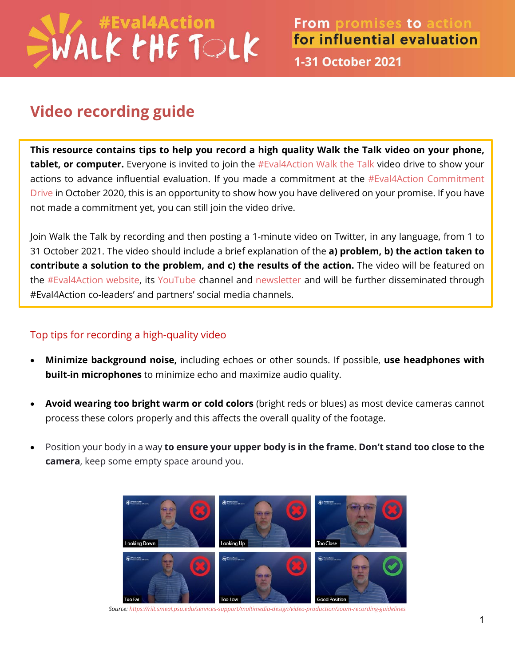## WALK PHE TOLK

**1-31 October 2021** 

## **Video recording guide**

**This resource contains tips to help you record a high quality Walk the Talk video on your phone, tablet, or computer.** Everyone is invited to join the [#Eval4Action Walk the Talk](https://www.eval4action.org/post/walk-the-talk-from-promises-to-action-for-influential-evaluation) video drive to show your actions to advance influential evaluation. If you made a commitment at the  $#Eval4Action$  Commitment [Drive](https://www.eval4action.org/commitments) in October 2020, this is an opportunity to show how you have delivered on your promise. If you have not made a commitment yet, you can still join the video drive.

Join Walk the Talk by recording and then posting a 1-minute video on Twitter, in any language, from 1 to 31 October 2021. The video should include a brief explanation of the **a) problem, b) the action taken to contribute a solution to the problem, and c) the results of the action.** The video will be featured on the [#Eval4Action](https://www.eval4action.org/post/walk-the-talk-from-promises-to-action-for-influential-evaluation) website, its [YouTube](https://www.youtube.com/channel/UCXHm5EiPguK6brv_bOozmTA) channel and [newsletter](https://www.eval4action.org/get-updates) and will be further disseminated through #Eval4Action co-leaders' and partners' social media channels.

## Top tips for recording a high-quality video

- **Minimize background noise,** including echoes or other sounds. If possible, **use headphones with built-in microphones** to minimize echo and maximize audio quality.
- **Avoid wearing too bright warm or cold colors** (bright reds or blues) as most device cameras cannot process these colors properly and this affects the overall quality of the footage.
- Position your body in a way **to ensure your upper body is in the frame. Don't stand too close to the camera**, keep some empty space around you.



*Source:<https://riit.smeal.psu.edu/services-support/multimedia-design/video-production/zoom-recording-guidelines>*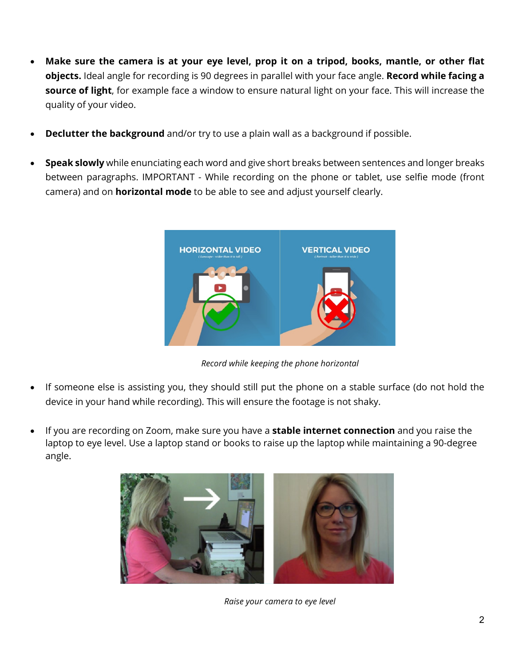- **Make sure the camera is at your eye level, prop it on a tripod, books, mantle, or other flat objects.** Ideal angle for recording is 90 degrees in parallel with your face angle. **Record while facing a source of light**, for example face a window to ensure natural light on your face. This will increase the quality of your video.
- **Declutter the background** and/or try to use a plain wall as a background if possible.
- **Speak slowly** while enunciating each word and give short breaks between sentences and longer breaks between paragraphs. IMPORTANT - While recording on the phone or tablet, use selfie mode (front camera) and on **horizontal mode** to be able to see and adjust yourself clearly.



*Record while keeping the phone horizontal*

- If someone else is assisting you, they should still put the phone on a stable surface (do not hold the device in your hand while recording). This will ensure the footage is not shaky.
- If you are recording on Zoom, make sure you have a **stable internet connection** and you raise the laptop to eye level. Use a laptop stand or books to raise up the laptop while maintaining a 90-degree angle.



*Raise your camera to eye level*